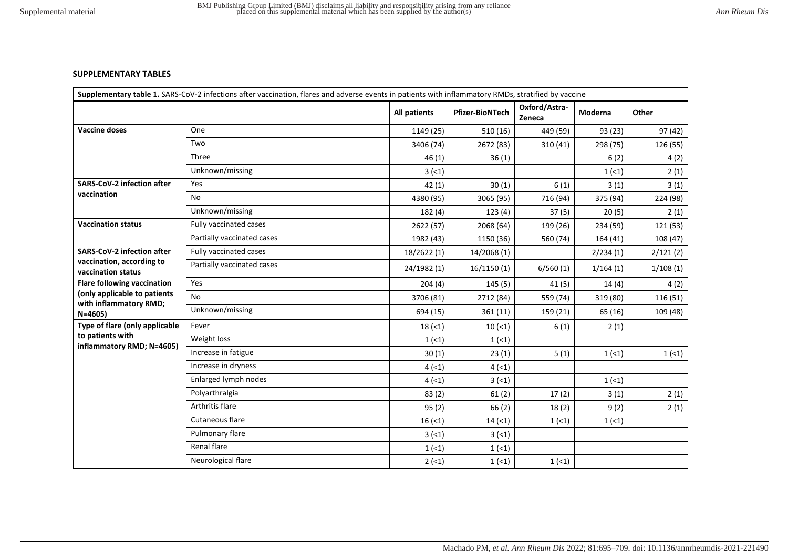## **SUPPLEMENTARY TABLES**

|                                                        |                            | Supplementary table 1. SARS-CoV-2 infections after vaccination, flares and adverse events in patients with inflammatory RMDs, stratified by vaccine |                        |                         |          |          |  |
|--------------------------------------------------------|----------------------------|-----------------------------------------------------------------------------------------------------------------------------------------------------|------------------------|-------------------------|----------|----------|--|
|                                                        |                            | All patients                                                                                                                                        | <b>Pfizer-BioNTech</b> | Oxford/Astra-<br>Zeneca | Moderna  | Other    |  |
| <b>Vaccine doses</b>                                   | One                        | 1149 (25)                                                                                                                                           | 510 (16)               | 449 (59)                | 93 (23)  | 97 (42)  |  |
|                                                        | Two                        | 3406 (74)                                                                                                                                           | 2672 (83)              | 310 (41)                | 298 (75) | 126 (55) |  |
|                                                        | Three                      | 46(1)                                                                                                                                               | 36(1)                  |                         | 6(2)     | 4(2)     |  |
|                                                        | Unknown/missing            | 3(1)                                                                                                                                                |                        |                         | 1(1)     | 2(1)     |  |
| <b>SARS-CoV-2 infection after</b>                      | Yes                        | 42(1)                                                                                                                                               | 30(1)                  | 6(1)                    | 3(1)     | 3(1)     |  |
| vaccination                                            | <b>No</b>                  | 4380 (95)                                                                                                                                           | 3065 (95)              | 716 (94)                | 375 (94) | 224 (98) |  |
|                                                        | Unknown/missing            | 182 (4)                                                                                                                                             | 123(4)                 | 37(5)                   | 20(5)    | 2(1)     |  |
| <b>Vaccination status</b>                              | Fully vaccinated cases     | 2622 (57)                                                                                                                                           | 2068 (64)              | 199 (26)                | 234 (59) | 121 (53) |  |
|                                                        | Partially vaccinated cases | 1982 (43)                                                                                                                                           | 1150 (36)              | 560 (74)                | 164 (41) | 108 (47) |  |
| <b>SARS-CoV-2 infection after</b>                      | Fully vaccinated cases     | 18/2622 (1)                                                                                                                                         | 14/2068 (1)            |                         | 2/234(1) | 2/121(2) |  |
| vaccination, according to<br>vaccination status        | Partially vaccinated cases | 24/1982 (1)                                                                                                                                         | 16/1150(1)             | 6/560(1)                | 1/164(1) | 1/108(1) |  |
| <b>Flare following vaccination</b>                     | Yes                        | 204(4)                                                                                                                                              | 145(5)                 | 41 (5)                  | 14(4)    | 4(2)     |  |
| (only applicable to patients<br>with inflammatory RMD; | <b>No</b>                  | 3706 (81)                                                                                                                                           | 2712 (84)              | 559 (74)                | 319 (80) | 116 (51) |  |
| $N = 4605$                                             | Unknown/missing            | 694 (15)                                                                                                                                            | 361 (11)               | 159 (21)                | 65 (16)  | 109 (48) |  |
| Type of flare (only applicable                         | Fever                      | 18(1)                                                                                                                                               | 10(1)                  | 6(1)                    | 2(1)     |          |  |
| to patients with                                       | Weight loss                | 1(1)                                                                                                                                                | 1(1)                   |                         |          |          |  |
| inflammatory RMD; N=4605)                              | Increase in fatigue        | 30(1)                                                                                                                                               | 23(1)                  | 5(1)                    | 1(1)     | 1(1)     |  |
|                                                        | Increase in dryness        | 4(1)                                                                                                                                                | 4(1)                   |                         |          |          |  |
|                                                        | Enlarged lymph nodes       | 4(1)                                                                                                                                                | 3(1)                   |                         | 1(1)     |          |  |
|                                                        | Polyarthralgia             | 83(2)                                                                                                                                               | 61(2)                  | 17(2)                   | 3(1)     | 2(1)     |  |
|                                                        | Arthritis flare            | 95(2)                                                                                                                                               | 66(2)                  | 18(2)                   | 9(2)     | 2(1)     |  |
|                                                        | Cutaneous flare            | 16(1)                                                                                                                                               | 14(1)                  | 1(1)                    | 1(1)     |          |  |
|                                                        | Pulmonary flare            | 3(1)                                                                                                                                                | 3(1)                   |                         |          |          |  |
|                                                        | Renal flare                | 1(1)                                                                                                                                                | 1(1)                   |                         |          |          |  |
|                                                        | Neurological flare         | $2(-1)$                                                                                                                                             | 1(1)                   | 1(1)                    |          |          |  |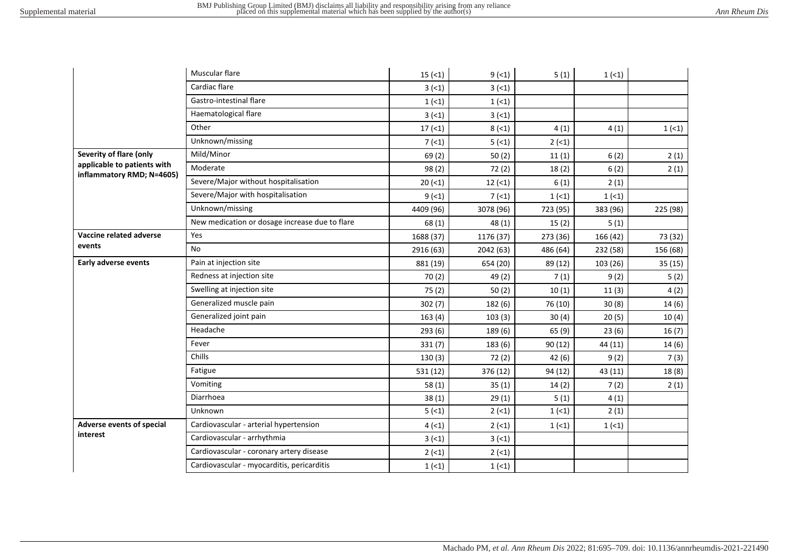|                                                                                     | Muscular flare                                 | 15(1)     | $9(-1)$   | 5(1)     | 1(1)     |          |
|-------------------------------------------------------------------------------------|------------------------------------------------|-----------|-----------|----------|----------|----------|
|                                                                                     | Cardiac flare                                  | 3(5)      | 3(5)      |          |          |          |
|                                                                                     | Gastro-intestinal flare                        | 1(1)      | 1(1)      |          |          |          |
|                                                                                     | Haematological flare                           | 3(5)      | 3(5)      |          |          |          |
|                                                                                     | Other                                          | 17(1)     | 8(1)      | 4(1)     | 4(1)     | 1(1)     |
|                                                                                     | Unknown/missing                                | 7(1)      | 5(1)      | $2(-1)$  |          |          |
| Severity of flare (only<br>applicable to patients with<br>inflammatory RMD; N=4605) | Mild/Minor                                     | 69(2)     | 50(2)     | 11(1)    | 6(2)     | 2(1)     |
|                                                                                     | Moderate                                       | 98(2)     | 72(2)     | 18(2)    | 6(2)     | 2(1)     |
|                                                                                     | Severe/Major without hospitalisation           | 20(1)     | 12(1)     | 6(1)     | 2(1)     |          |
|                                                                                     | Severe/Major with hospitalisation              | 9(1)      | 7(1)      | 1(1)     | 1(1)     |          |
|                                                                                     | Unknown/missing                                | 4409 (96) | 3078 (96) | 723 (95) | 383 (96) | 225 (98) |
|                                                                                     | New medication or dosage increase due to flare | 68 (1)    | 48(1)     | 15(2)    | 5(1)     |          |
| Vaccine related adverse                                                             | Yes                                            | 1688 (37) | 1176 (37) | 273 (36) | 166 (42) | 73 (32)  |
| events                                                                              | No.                                            | 2916 (63) | 2042 (63) | 486 (64) | 232 (58) | 156 (68) |
| Early adverse events                                                                | Pain at injection site                         | 881 (19)  | 654 (20)  | 89 (12)  | 103 (26) | 35 (15)  |
|                                                                                     | Redness at injection site                      | 70(2)     | 49 (2)    | 7(1)     | 9(2)     | 5(2)     |
|                                                                                     | Swelling at injection site                     | 75(2)     | 50(2)     | 10(1)    | 11(3)    | 4(2)     |
|                                                                                     | Generalized muscle pain                        | 302(7)    | 182(6)    | 76 (10)  | 30(8)    | 14(6)    |
|                                                                                     | Generalized joint pain                         | 163(4)    | 103(3)    | 30(4)    | 20(5)    | 10(4)    |
|                                                                                     | Headache                                       | 293(6)    | 189 (6)   | 65(9)    | 23(6)    | 16(7)    |
|                                                                                     | Fever                                          | 331(7)    | 183(6)    | 90 (12)  | 44 (11)  | 14(6)    |
|                                                                                     | Chills                                         | 130(3)    | 72(2)     | 42(6)    | 9(2)     | 7(3)     |
|                                                                                     | Fatigue                                        | 531 (12)  | 376 (12)  | 94 (12)  | 43 (11)  | 18(8)    |
|                                                                                     | Vomiting                                       | 58(1)     | 35(1)     | 14(2)    | 7(2)     | 2(1)     |
|                                                                                     | Diarrhoea                                      | 38(1)     | 29(1)     | 5(1)     | 4(1)     |          |
|                                                                                     | Unknown                                        | 5(1)      | $2(-1)$   | 1(1)     | 2(1)     |          |
| Adverse events of special                                                           | Cardiovascular - arterial hypertension         | 4(1)      | 2(1)      | 1(1)     | 1(1)     |          |
| interest                                                                            | Cardiovascular - arrhythmia                    | 3(1)      | 3(1)      |          |          |          |
|                                                                                     | Cardiovascular - coronary artery disease       | $2(-1)$   | $2(-1)$   |          |          |          |
|                                                                                     | Cardiovascular - myocarditis, pericarditis     | 1(1)      | 1(1)      |          |          |          |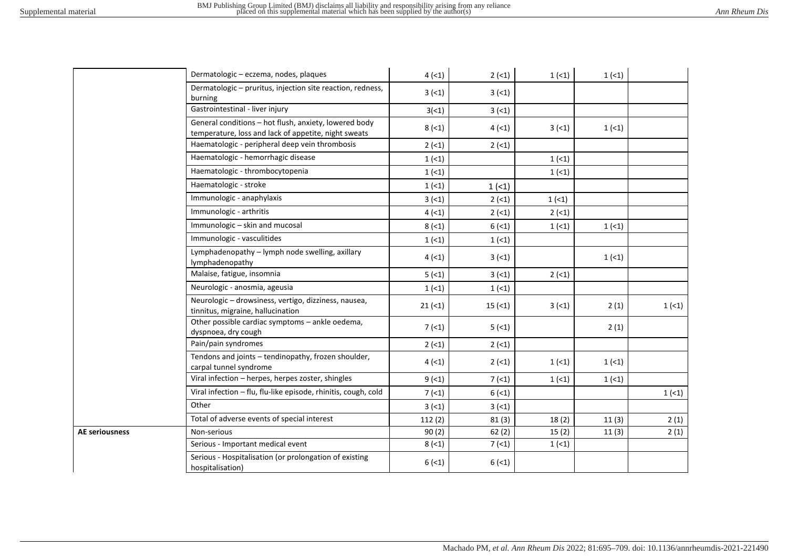| Ann Rheum Dis |  |  |  |
|---------------|--|--|--|
|---------------|--|--|--|

|                       | Dermatologic - eczema, nodes, plaques                                                                         | 4(1)       | $2(-1)$ | 1(1)     | 1(1)  |      |
|-----------------------|---------------------------------------------------------------------------------------------------------------|------------|---------|----------|-------|------|
|                       | Dermatologic – pruritus, injection site reaction, redness,<br>burning                                         | 3(1)       | 3(1)    |          |       |      |
|                       | Gastrointestinal - liver injury                                                                               | 3(1)       | 3(1)    |          |       |      |
|                       | General conditions - hot flush, anxiety, lowered body<br>temperature, loss and lack of appetite, night sweats | $8(-1)$    | 4(1)    | 3(1)     | 1(1)  |      |
|                       | Haematologic - peripheral deep vein thrombosis                                                                | 2(1)       | $2(-1)$ |          |       |      |
|                       | Haematologic - hemorrhagic disease                                                                            | 1(1)       |         | $1 (-1)$ |       |      |
|                       | Haematologic - thrombocytopenia                                                                               | 1(1)       |         | 1(1)     |       |      |
|                       | Haematologic - stroke                                                                                         | 1(1)       | 1(1)    |          |       |      |
|                       | Immunologic - anaphylaxis                                                                                     | 3(1)       | $2(-1)$ | 1(1)     |       |      |
|                       | Immunologic - arthritis                                                                                       | 4(1)       | $2(-1)$ | $2(-1)$  |       |      |
|                       | Immunologic - skin and mucosal                                                                                | $8(-1)$    | 6(1)    | 1(1)     | 1(1)  |      |
|                       | Immunologic - vasculitides                                                                                    | 1(1)       | 1(1)    |          |       |      |
|                       | Lymphadenopathy - lymph node swelling, axillary<br>lymphadenopathy                                            | 4(1)       | 3(1)    |          | 1(1)  |      |
|                       | Malaise, fatigue, insomnia                                                                                    | 5(1)       | 3(1)    | 2(51)    |       |      |
|                       | Neurologic - anosmia, ageusia                                                                                 | 1(1)       | 1(1)    |          |       |      |
|                       | Neurologic - drowsiness, vertigo, dizziness, nausea,<br>tinnitus, migraine, hallucination                     | $21 (= 1)$ | 15(1)   | 3(5)     | 2(1)  | 1(1) |
|                       | Other possible cardiac symptoms - ankle oedema,<br>dyspnoea, dry cough                                        | 7(1)       | 5(1)    |          | 2(1)  |      |
|                       | Pain/pain syndromes                                                                                           | 2(1)       | 2(1)    |          |       |      |
|                       | Tendons and joints - tendinopathy, frozen shoulder,<br>carpal tunnel syndrome                                 | 4(1)       | $2(-1)$ | 1(1)     | 1(1)  |      |
|                       | Viral infection - herpes, herpes zoster, shingles                                                             | 9(1)       | 7(1)    | 1(1)     | 1(1)  |      |
|                       | Viral infection - flu, flu-like episode, rhinitis, cough, cold                                                | 7(1)       | 6(1)    |          |       | 1(1) |
|                       | Other                                                                                                         | 3(1)       | 3(1)    |          |       |      |
|                       | Total of adverse events of special interest                                                                   | 112(2)     | 81(3)   | 18(2)    | 11(3) | 2(1) |
| <b>AE seriousness</b> | Non-serious                                                                                                   | 90(2)      | 62(2)   | 15(2)    | 11(3) | 2(1) |
|                       | Serious - Important medical event                                                                             | $8(-1)$    | 7(1)    | 1(1)     |       |      |
|                       | Serious - Hospitalisation (or prolongation of existing<br>hospitalisation)                                    | 6(1)       | 6(1)    |          |       |      |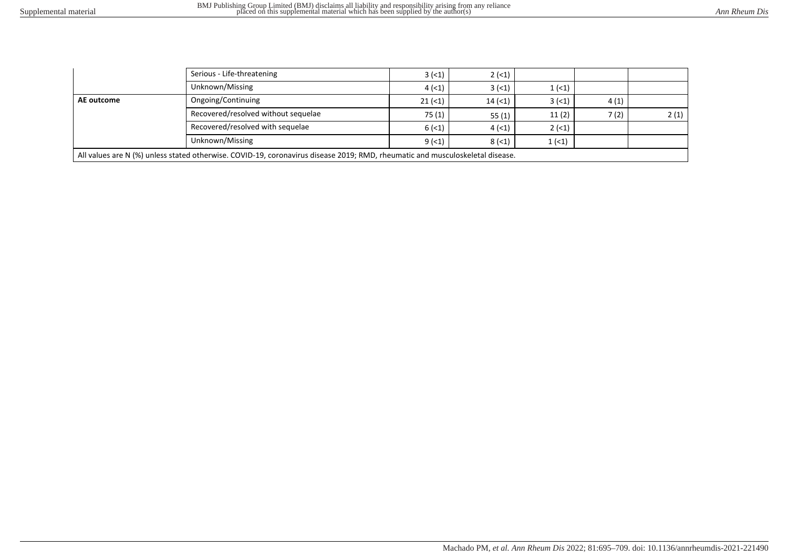|                                                                                                                               | Serious - Life-threatening          | 3(5)      | $2(-1)$ |          |      |      |
|-------------------------------------------------------------------------------------------------------------------------------|-------------------------------------|-----------|---------|----------|------|------|
|                                                                                                                               | Unknown/Missing                     | 4(1)      | $3(-1)$ | 1(1)     |      |      |
| AE outcome                                                                                                                    | Ongoing/Continuing                  | $21 (=1)$ | 14(1)   | 3(1)     | 4(1) |      |
|                                                                                                                               | Recovered/resolved without sequelae | 75 (1)    | 55(1)   | 11(2)    | 7(2) | 2(1) |
|                                                                                                                               | Recovered/resolved with sequelae    | 6(1)      | 4(1)    | $2 (-1)$ |      |      |
|                                                                                                                               | Unknown/Missing                     | 9(1)      | $8(-1)$ | 1(1)     |      |      |
| All values are N (%) unless stated otherwise. COVID-19, coronavirus disease 2019; RMD, rheumatic and musculoskeletal disease. |                                     |           |         |          |      |      |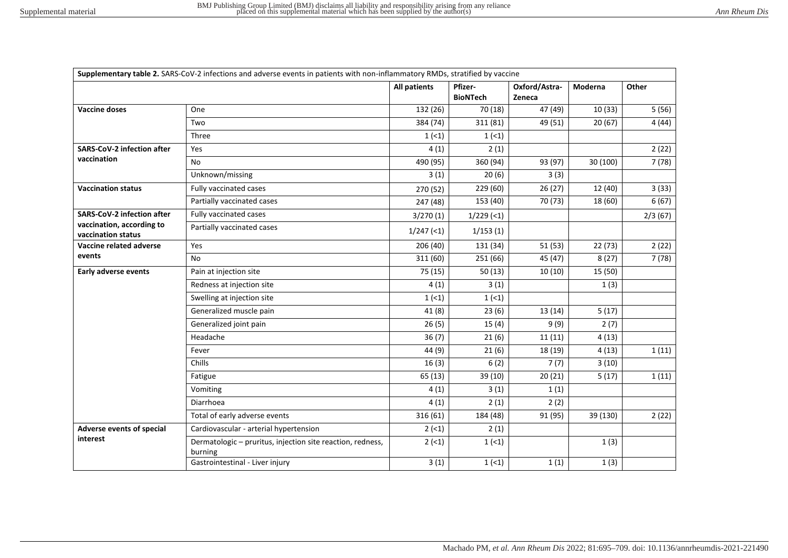|                                                 | Supplementary table 2. SARS-CoV-2 infections and adverse events in patients with non-inflammatory RMDs, stratified by vaccine |              |                            |                         |          |         |  |
|-------------------------------------------------|-------------------------------------------------------------------------------------------------------------------------------|--------------|----------------------------|-------------------------|----------|---------|--|
|                                                 |                                                                                                                               | All patients | Pfizer-<br><b>BioNTech</b> | Oxford/Astra-<br>Zeneca | Moderna  | Other   |  |
| <b>Vaccine doses</b>                            | One                                                                                                                           | 132 (26)     | 70 (18)                    | 47 (49)                 | 10(33)   | 5(56)   |  |
|                                                 | Two                                                                                                                           | 384 (74)     | 311 (81)                   | 49 (51)                 | 20(67)   | 4(44)   |  |
|                                                 | Three                                                                                                                         | 1(1)         | 1(1)                       |                         |          |         |  |
| <b>SARS-CoV-2 infection after</b>               | Yes                                                                                                                           | 4(1)         | 2(1)                       |                         |          | 2(22)   |  |
| vaccination                                     | No.                                                                                                                           | 490 (95)     | 360 (94)                   | 93 (97)                 | 30 (100) | 7(78)   |  |
|                                                 | Unknown/missing                                                                                                               | 3(1)         | 20(6)                      | 3(3)                    |          |         |  |
| <b>Vaccination status</b>                       | Fully vaccinated cases                                                                                                        | 270 (52)     | 229 (60)                   | 26(27)                  | 12 (40)  | 3(33)   |  |
|                                                 | Partially vaccinated cases                                                                                                    | 247 (48)     | 153 (40)                   | 70 (73)                 | 18 (60)  | 6(67)   |  |
| <b>SARS-CoV-2 infection after</b>               | Fully vaccinated cases                                                                                                        | 3/270(1)     | $1/229$ (<1)               |                         |          | 2/3(67) |  |
| vaccination, according to<br>vaccination status | Partially vaccinated cases                                                                                                    | $1/247$ (<1) | 1/153(1)                   |                         |          |         |  |
| Vaccine related adverse                         | Yes                                                                                                                           | 206 (40)     | 131 (34)                   | 51 (53)                 | 22(73)   | 2(22)   |  |
| events                                          | No.                                                                                                                           | 311 (60)     | 251 (66)                   | 45 (47)                 | 8(27)    | 7(78)   |  |
| <b>Early adverse events</b>                     | Pain at injection site                                                                                                        | 75 (15)      | 50(13)                     | 10(10)                  | 15 (50)  |         |  |
|                                                 | Redness at injection site                                                                                                     | 4(1)         | 3(1)                       |                         | 1(3)     |         |  |
|                                                 | Swelling at injection site                                                                                                    | 1(1)         | 1(1)                       |                         |          |         |  |
|                                                 | Generalized muscle pain                                                                                                       | 41(8)        | 23(6)                      | 13(14)                  | 5(17)    |         |  |
|                                                 | Generalized joint pain                                                                                                        | 26(5)        | 15(4)                      | 9(9)                    | 2(7)     |         |  |
|                                                 | Headache                                                                                                                      | 36(7)        | 21(6)                      | 11(11)                  | 4(13)    |         |  |
|                                                 | Fever                                                                                                                         | 44 (9)       | 21(6)                      | 18 (19)                 | 4(13)    | 1(11)   |  |
|                                                 | Chills                                                                                                                        | 16(3)        | 6(2)                       | 7(7)                    | 3(10)    |         |  |
|                                                 | Fatigue                                                                                                                       | 65 (13)      | 39 (10)                    | 20(21)                  | 5(17)    | 1(11)   |  |
|                                                 | Vomiting                                                                                                                      | 4(1)         | 3(1)                       | 1(1)                    |          |         |  |
|                                                 | Diarrhoea                                                                                                                     | 4(1)         | 2(1)                       | 2(2)                    |          |         |  |
|                                                 | Total of early adverse events                                                                                                 | 316 (61)     | 184 (48)                   | 91 (95)                 | 39 (130) | 2(22)   |  |
| Adverse events of special                       | Cardiovascular - arterial hypertension                                                                                        | $2(-1)$      | 2(1)                       |                         |          |         |  |
| interest                                        | Dermatologic - pruritus, injection site reaction, redness,<br>burning                                                         | $2 (-1)$     | 1(1)                       |                         | 1(3)     |         |  |
|                                                 | Gastrointestinal - Liver injury                                                                                               | 3(1)         | 1(1)                       | 1(1)                    | 1(3)     |         |  |